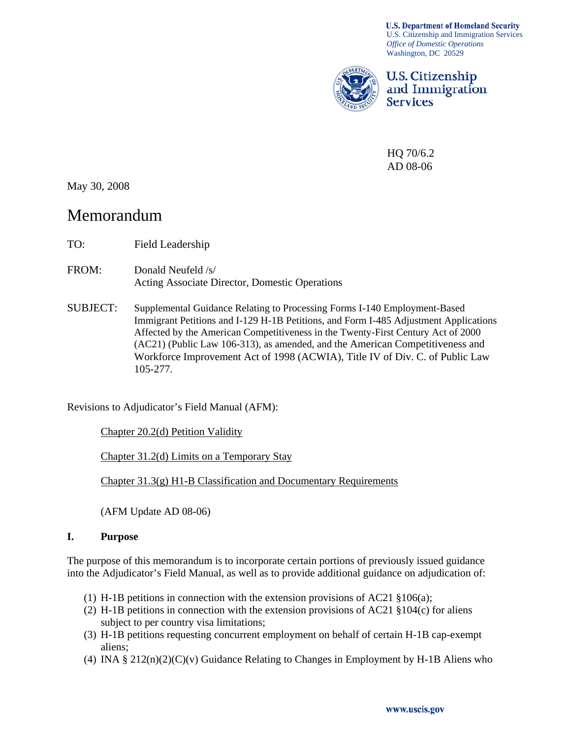**U.S. Department of Homeland Security** U.S. Citizenship and Immigration Services *Office of Domestic Operations*  Washington, DC 20529



**U.S. Citizenship** and Immigration **Services** 

HQ 70/6.2 AD 08-06

May 30, 2008

# Memorandum

- TO: Field Leadership
- FROM: Donald Neufeld /s/ Acting Associate Director, Domestic Operations
- SUBJECT: Supplemental Guidance Relating to Processing Forms I-140 Employment-Based Immigrant Petitions and I-129 H-1B Petitions, and Form I-485 Adjustment Applications Affected by the American Competitiveness in the Twenty-First Century Act of 2000 (AC21) (Public Law 106-313), as amended, and the American Competitiveness and Workforce Improvement Act of 1998 (ACWIA), Title IV of Div. C. of Public Law 105-277.

Revisions to Adjudicator's Field Manual (AFM):

Chapter 20.2(d) Petition Validity

Chapter 31.2(d) Limits on a Temporary Stay

Chapter 31.3(g) H1-B Classification and Documentary Requirements

(AFM Update AD 08-06)

#### **I. Purpose**

The purpose of this memorandum is to incorporate certain portions of previously issued guidance into the Adjudicator's Field Manual, as well as to provide additional guidance on adjudication of:

- (1) H-1B petitions in connection with the extension provisions of AC21  $\S 106(a)$ ;
- (2) H-1B petitions in connection with the extension provisions of AC21 §104(c) for aliens subject to per country visa limitations;
- (3) H-1B petitions requesting concurrent employment on behalf of certain H-1B cap-exempt aliens;
- (4) INA  $\S 212(n)(2)(C)(v)$  Guidance Relating to Changes in Employment by H-1B Aliens who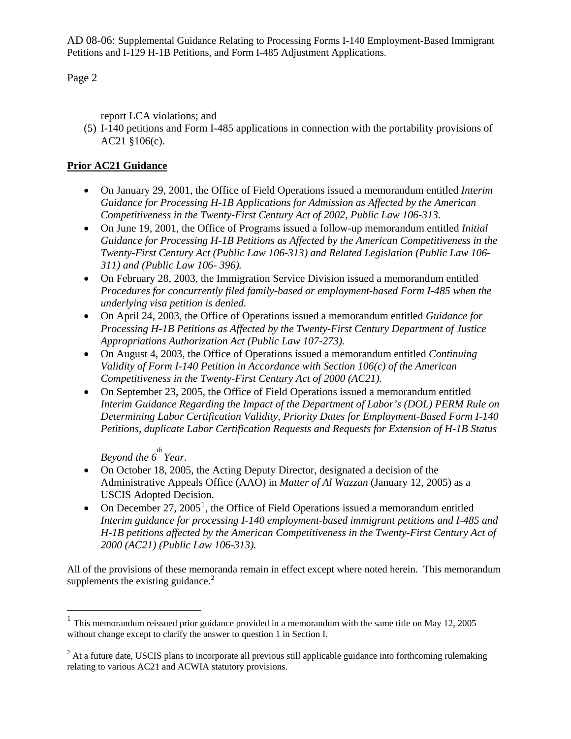#### Page 2

report LCA violations; and

(5) I-140 petitions and Form I-485 applications in connection with the portability provisions of AC21 §106(c).

## **Prior AC21 Guidance**

- On January 29, 2001, the Office of Field Operations issued a memorandum entitled *Interim Guidance for Processing H-1B Applications for Admission as Affected by the American Competitiveness in the Twenty-First Century Act of 2002, Public Law 106-313.*
- On June 19, 2001, the Office of Programs issued a follow-up memorandum entitled *Initial Guidance for Processing H-1B Petitions as Affected by the American Competitiveness in the Twenty-First Century Act (Public Law 106-313) and Related Legislation (Public Law 106- 311) and (Public Law 106- 396).*
- On February 28, 2003, the Immigration Service Division issued a memorandum entitled *Procedures for concurrently filed family-based or employment-based Form I-485 when the underlying visa petition is denied.*
- On April 24, 2003, the Office of Operations issued a memorandum entitled *Guidance for Processing H-1B Petitions as Affected by the Twenty-First Century Department of Justice Appropriations Authorization Act (Public Law 107-273).*
- On August 4, 2003, the Office of Operations issued a memorandum entitled *Continuing Validity of Form I-140 Petition in Accordance with Section 106(c) of the American Competitiveness in the Twenty-First Century Act of 2000 (AC21).*
- On September 23, 2005, the Office of Field Operations issued a memorandum entitled *Interim Guidance Regarding the Impact of the Department of Labor's (DOL) PERM Rule on Determining Labor Certification Validity, Priority Dates for Employment-Based Form I-140 Petitions, duplicate Labor Certification Requests and Requests for Extension of H-1B Status*

Beyond the  $6^{th}$  Year.

 $\overline{a}$ 

- On October 18, 2005, the Acting Deputy Director, designated a decision of the Administrative Appeals Office (AAO) in *Matter of Al Wazzan* (January 12, 2005) as a USCIS Adopted Decision.
- On December 27, 2005<sup>[1](#page-1-0)</sup>, the Office of Field Operations issued a memorandum entitled *Interim guidance for processing I-140 employment-based immigrant petitions and I-485 and H-1B petitions affected by the American Competitiveness in the Twenty-First Century Act of 2000 (AC21) (Public Law 106-313).*

All of the provisions of these memoranda remain in effect except where noted herein. This memorandum supplements the existing guidance. $2$ 

<span id="page-1-0"></span> $1$  This memorandum reissued prior guidance provided in a memorandum with the same title on May 12, 2005 without change except to clarify the answer to question 1 in Section I.

<span id="page-1-1"></span> $2<sup>2</sup>$  At a future date, USCIS plans to incorporate all previous still applicable guidance into forthcoming rulemaking relating to various AC21 and ACWIA statutory provisions.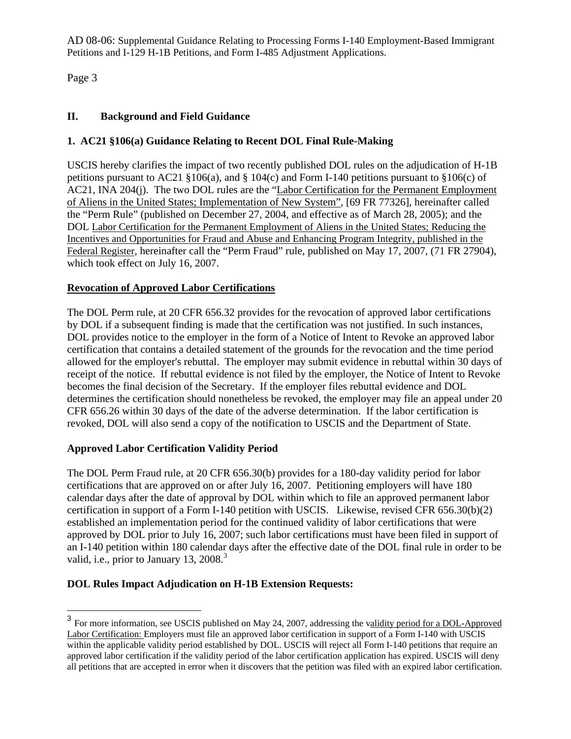Page 3

 $\overline{a}$ 

### **II. Background and Field Guidance**

## **1. AC21 §106(a) Guidance Relating to Recent DOL Final Rule-Making**

USCIS hereby clarifies the impact of two recently published DOL rules on the adjudication of H-1B petitions pursuant to AC21 §106(a), and § 104(c) and Form I-140 petitions pursuant to §106(c) of AC21, INA 204(j). The two DOL rules are the "Labor Certification for the Permanent Employment of Aliens in the United States; Implementation of New System", [69 FR 77326], hereinafter called the "Perm Rule" (published on December 27, 2004, and effective as of March 28, 2005); and the DOL Labor Certification for the Permanent Employment of Aliens in the United States; Reducing the Incentives and Opportunities for Fraud and Abuse and Enhancing Program Integrity, published in the Federal Register, hereinafter call the "Perm Fraud" rule, published on May 17, 2007, (71 FR 27904), which took effect on July 16, 2007.

## **Revocation of Approved Labor Certifications**

The DOL Perm rule, at 20 CFR 656.32 provides for the revocation of approved labor certifications by DOL if a subsequent finding is made that the certification was not justified. In such instances, DOL provides notice to the employer in the form of a Notice of Intent to Revoke an approved labor certification that contains a detailed statement of the grounds for the revocation and the time period allowed for the employer's rebuttal. The employer may submit evidence in rebuttal within 30 days of receipt of the notice. If rebuttal evidence is not filed by the employer, the Notice of Intent to Revoke becomes the final decision of the Secretary. If the employer files rebuttal evidence and DOL determines the certification should nonetheless be revoked, the employer may file an appeal under 20 CFR 656.26 within 30 days of the date of the adverse determination. If the labor certification is revoked, DOL will also send a copy of the notification to USCIS and the Department of State.

#### **Approved Labor Certification Validity Period**

The DOL Perm Fraud rule, at 20 CFR 656.30(b) provides for a 180-day validity period for labor certifications that are approved on or after July 16, 2007. Petitioning employers will have 180 calendar days after the date of approval by DOL within which to file an approved permanent labor certification in support of a Form I-140 petition with USCIS. Likewise, revised CFR 656.30(b)(2) established an implementation period for the continued validity of labor certifications that were approved by DOL prior to July 16, 2007; such labor certifications must have been filed in support of an I-140 petition within 180 calendar days after the effective date of the DOL final rule in order to be valid, i.e., prior to January 1[3](#page-2-0), 2008. $3$ 

#### **DOL Rules Impact Adjudication on H-1B Extension Requests:**

<span id="page-2-0"></span><sup>&</sup>lt;sup>3</sup> For more information, see USCIS published on May 24, 2007, addressing the validity period for a DOL-Approved Labor Certification: Employers must file an approved labor certification in support of a Form I-140 with USCIS within the applicable validity period established by DOL. USCIS will reject all Form I-140 petitions that require an approved labor certification if the validity period of the labor certification application has expired. USCIS will deny all petitions that are accepted in error when it discovers that the petition was filed with an expired labor certification.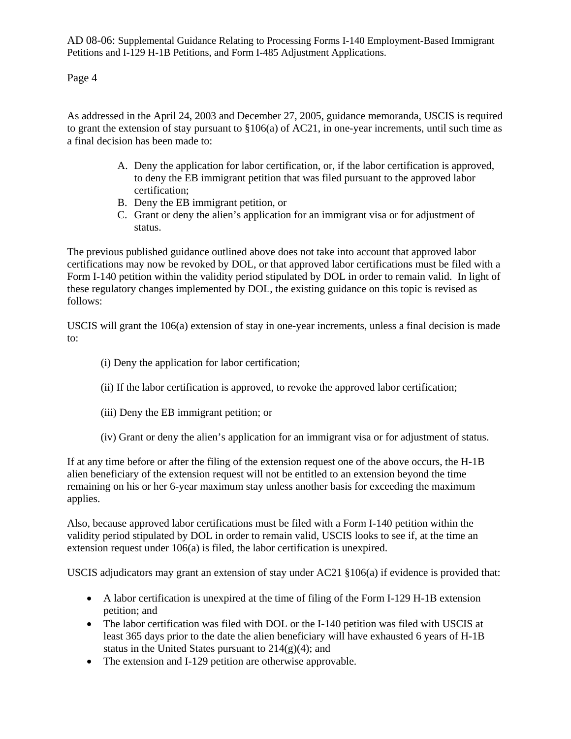Page 4

As addressed in the April 24, 2003 and December 27, 2005, guidance memoranda, USCIS is required to grant the extension of stay pursuant to §106(a) of AC21, in one-year increments, until such time as a final decision has been made to:

- A. Deny the application for labor certification, or, if the labor certification is approved, to deny the EB immigrant petition that was filed pursuant to the approved labor certification;
- B. Deny the EB immigrant petition, or
- C. Grant or deny the alien's application for an immigrant visa or for adjustment of status.

The previous published guidance outlined above does not take into account that approved labor certifications may now be revoked by DOL, or that approved labor certifications must be filed with a Form I-140 petition within the validity period stipulated by DOL in order to remain valid. In light of these regulatory changes implemented by DOL, the existing guidance on this topic is revised as follows:

USCIS will grant the 106(a) extension of stay in one-year increments, unless a final decision is made to:

- (i) Deny the application for labor certification;
- (ii) If the labor certification is approved, to revoke the approved labor certification;
- (iii) Deny the EB immigrant petition; or
- (iv) Grant or deny the alien's application for an immigrant visa or for adjustment of status.

If at any time before or after the filing of the extension request one of the above occurs, the H-1B alien beneficiary of the extension request will not be entitled to an extension beyond the time remaining on his or her 6-year maximum stay unless another basis for exceeding the maximum applies.

Also, because approved labor certifications must be filed with a Form I-140 petition within the validity period stipulated by DOL in order to remain valid, USCIS looks to see if, at the time an extension request under 106(a) is filed, the labor certification is unexpired.

USCIS adjudicators may grant an extension of stay under AC21 §106(a) if evidence is provided that:

- A labor certification is unexpired at the time of filing of the Form I-129 H-1B extension petition; and
- The labor certification was filed with DOL or the I-140 petition was filed with USCIS at least 365 days prior to the date the alien beneficiary will have exhausted 6 years of H-1B status in the United States pursuant to  $214(g)(4)$ ; and
- The extension and I-129 petition are otherwise approvable.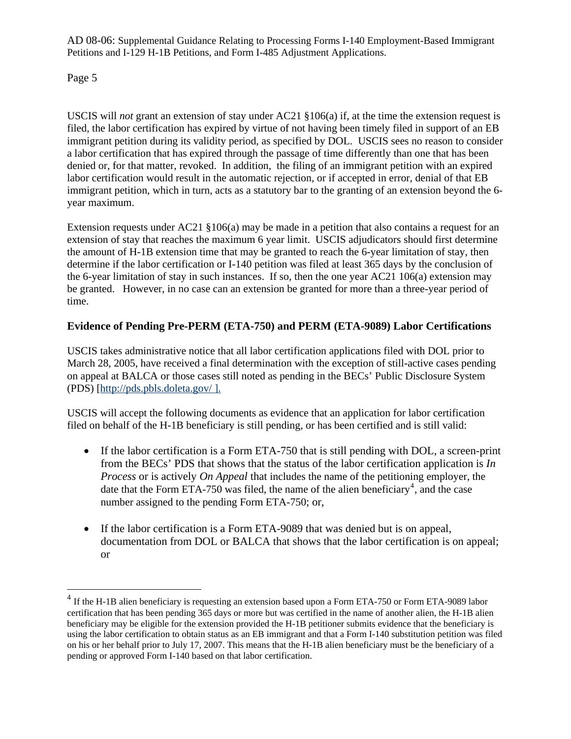Page 5

 $\overline{a}$ 

USCIS will *not* grant an extension of stay under AC21 §106(a) if, at the time the extension request is filed, the labor certification has expired by virtue of not having been timely filed in support of an EB immigrant petition during its validity period, as specified by DOL. USCIS sees no reason to consider a labor certification that has expired through the passage of time differently than one that has been denied or, for that matter, revoked. In addition, the filing of an immigrant petition with an expired labor certification would result in the automatic rejection, or if accepted in error, denial of that EB immigrant petition, which in turn, acts as a statutory bar to the granting of an extension beyond the 6 year maximum.

Extension requests under AC21 §106(a) may be made in a petition that also contains a request for an extension of stay that reaches the maximum 6 year limit. USCIS adjudicators should first determine the amount of H-1B extension time that may be granted to reach the 6-year limitation of stay, then determine if the labor certification or I-140 petition was filed at least 365 days by the conclusion of the 6-year limitation of stay in such instances. If so, then the one year AC21 106(a) extension may be granted. However, in no case can an extension be granted for more than a three-year period of time.

## **Evidence of Pending Pre-PERM (ETA-750) and PERM (ETA-9089) Labor Certifications**

USCIS takes administrative notice that all labor certification applications filed with DOL prior to March 28, 2005, have received a final determination with the exception of still-active cases pending on appeal at BALCA or those cases still noted as pending in the BECs' Public Disclosure System (PDS) [http://pds.pbls.doleta.gov/ ].

USCIS will accept the following documents as evidence that an application for labor certification filed on behalf of the H-1B beneficiary is still pending, or has been certified and is still valid:

- If the labor certification is a Form ETA-750 that is still pending with DOL, a screen-print from the BECs' PDS that shows that the status of the labor certification application is *In Process* or is actively *On Appeal* that includes the name of the petitioning employer, the date that the Form ETA-750 was filed, the name of the alien beneficiary<sup>[4](#page-4-0)</sup>, and the case number assigned to the pending Form ETA-750; or,
- If the labor certification is a Form ETA-9089 that was denied but is on appeal, documentation from DOL or BALCA that shows that the labor certification is on appeal; or

<span id="page-4-0"></span><sup>&</sup>lt;sup>4</sup> If the H-1B alien beneficiary is requesting an extension based upon a Form ETA-750 or Form ETA-9089 labor certification that has been pending 365 days or more but was certified in the name of another alien, the H-1B alien beneficiary may be eligible for the extension provided the H-1B petitioner submits evidence that the beneficiary is using the labor certification to obtain status as an EB immigrant and that a Form I-140 substitution petition was filed on his or her behalf prior to July 17, 2007. This means that the H-1B alien beneficiary must be the beneficiary of a pending or approved Form I-140 based on that labor certification.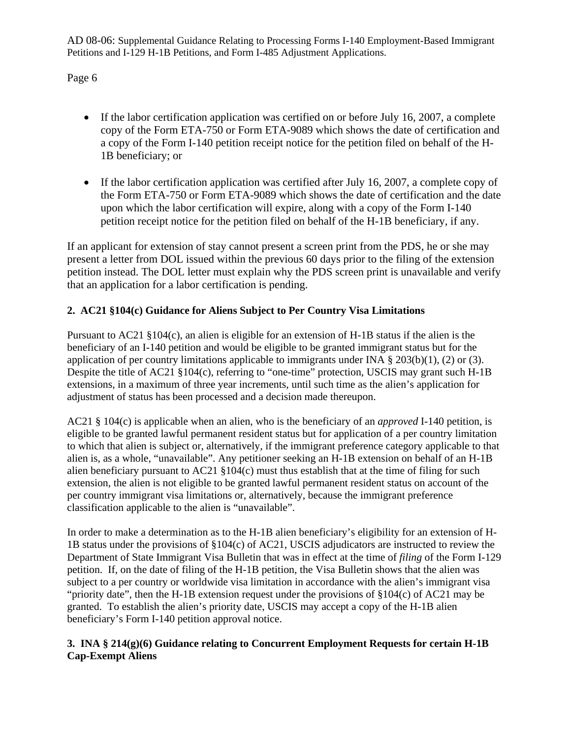Page 6

- If the labor certification application was certified on or before July 16, 2007, a complete copy of the Form ETA-750 or Form ETA-9089 which shows the date of certification and a copy of the Form I-140 petition receipt notice for the petition filed on behalf of the H-1B beneficiary; or
- If the labor certification application was certified after July 16, 2007, a complete copy of the Form ETA-750 or Form ETA-9089 which shows the date of certification and the date upon which the labor certification will expire, along with a copy of the Form I-140 petition receipt notice for the petition filed on behalf of the H-1B beneficiary, if any.

If an applicant for extension of stay cannot present a screen print from the PDS, he or she may present a letter from DOL issued within the previous 60 days prior to the filing of the extension petition instead. The DOL letter must explain why the PDS screen print is unavailable and verify that an application for a labor certification is pending.

## **2. AC21 §104(c) Guidance for Aliens Subject to Per Country Visa Limitations**

Pursuant to AC21 §104(c), an alien is eligible for an extension of H-1B status if the alien is the beneficiary of an I-140 petition and would be eligible to be granted immigrant status but for the application of per country limitations applicable to immigrants under INA § 203(b)(1), (2) or (3). Despite the title of AC21 §104(c), referring to "one-time" protection, USCIS may grant such H-1B extensions, in a maximum of three year increments, until such time as the alien's application for adjustment of status has been processed and a decision made thereupon.

AC21 § 104(c) is applicable when an alien, who is the beneficiary of an *approved* I-140 petition, is eligible to be granted lawful permanent resident status but for application of a per country limitation to which that alien is subject or, alternatively, if the immigrant preference category applicable to that alien is, as a whole, "unavailable". Any petitioner seeking an H-1B extension on behalf of an H-1B alien beneficiary pursuant to  $AC21 \, \frac{8104(c)}{c}$  must thus establish that at the time of filing for such extension, the alien is not eligible to be granted lawful permanent resident status on account of the per country immigrant visa limitations or, alternatively, because the immigrant preference classification applicable to the alien is "unavailable".

In order to make a determination as to the H-1B alien beneficiary's eligibility for an extension of H-1B status under the provisions of §104(c) of AC21, USCIS adjudicators are instructed to review the Department of State Immigrant Visa Bulletin that was in effect at the time of *filing* of the Form I-129 petition. If, on the date of filing of the H-1B petition, the Visa Bulletin shows that the alien was subject to a per country or worldwide visa limitation in accordance with the alien's immigrant visa "priority date", then the H-1B extension request under the provisions of §104(c) of AC21 may be granted. To establish the alien's priority date, USCIS may accept a copy of the H-1B alien beneficiary's Form I-140 petition approval notice.

#### **3. INA § 214(g)(6) Guidance relating to Concurrent Employment Requests for certain H-1B Cap-Exempt Aliens**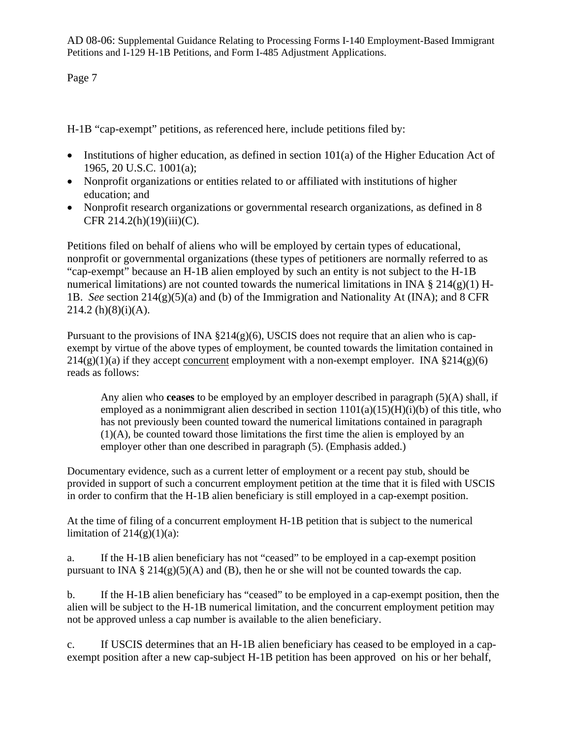Page 7

H-1B "cap-exempt" petitions, as referenced here, include petitions filed by:

- Institutions of higher education, as defined in section 101(a) of the Higher Education Act of 1965, 20 U.S.C. 1001(a);
- Nonprofit organizations or entities related to or affiliated with institutions of higher education; and
- Nonprofit research organizations or governmental research organizations, as defined in 8 CFR 214.2(h)(19)(iii)(C).

Petitions filed on behalf of aliens who will be employed by certain types of educational, nonprofit or governmental organizations (these types of petitioners are normally referred to as "cap-exempt" because an H-1B alien employed by such an entity is not subject to the H-1B numerical limitations) are not counted towards the numerical limitations in INA  $\S 214(g)(1)$  H-1B. *See* section 214(g)(5)(a) and (b) of the Immigration and Nationality At (INA); and 8 CFR  $214.2(h)(8)(i)(A)$ .

Pursuant to the provisions of INA  $\S214(g)(6)$ , USCIS does not require that an alien who is capexempt by virtue of the above types of employment, be counted towards the limitation contained in  $214(g)(1)(a)$  if they accept concurrent employment with a non-exempt employer. INA  $\S 214(g)(6)$ reads as follows:

Any alien who **ceases** to be employed by an employer described in paragraph (5)(A) shall, if employed as a nonimmigrant alien described in section  $1101(a)(15)(H)(i)$  of this title, who has not previously been counted toward the numerical limitations contained in paragraph (1)(A), be counted toward those limitations the first time the alien is employed by an employer other than one described in paragraph (5). (Emphasis added.)

Documentary evidence, such as a current letter of employment or a recent pay stub, should be provided in support of such a concurrent employment petition at the time that it is filed with USCIS in order to confirm that the H-1B alien beneficiary is still employed in a cap-exempt position.

At the time of filing of a concurrent employment H-1B petition that is subject to the numerical limitation of  $214(g)(1)(a)$ :

a. If the H-1B alien beneficiary has not "ceased" to be employed in a cap-exempt position pursuant to INA § 214(g)(5)(A) and (B), then he or she will not be counted towards the cap.

b. If the H-1B alien beneficiary has "ceased" to be employed in a cap-exempt position, then the alien will be subject to the H-1B numerical limitation, and the concurrent employment petition may not be approved unless a cap number is available to the alien beneficiary.

c. If USCIS determines that an H-1B alien beneficiary has ceased to be employed in a capexempt position after a new cap-subject H-1B petition has been approved on his or her behalf,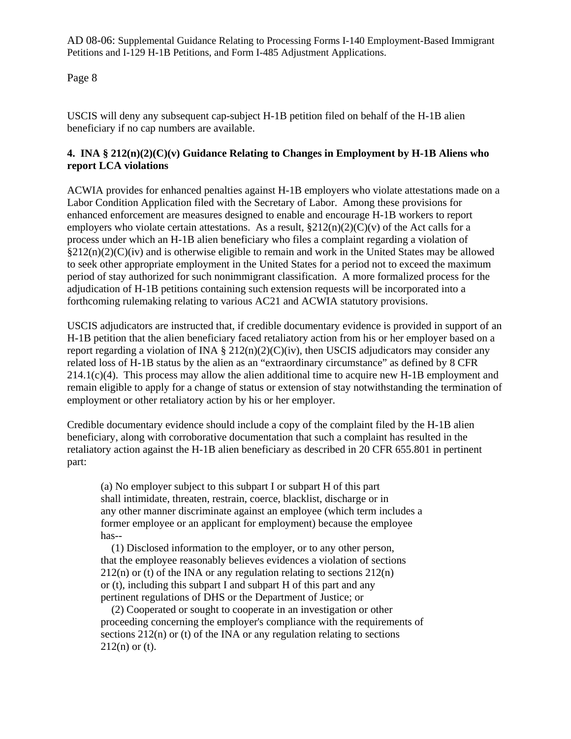Page 8

USCIS will deny any subsequent cap-subject H-1B petition filed on behalf of the H-1B alien beneficiary if no cap numbers are available.

#### **4. INA § 212(n)(2)(C)(v) Guidance Relating to Changes in Employment by H-1B Aliens who report LCA violations**

ACWIA provides for enhanced penalties against H-1B employers who violate attestations made on a Labor Condition Application filed with the Secretary of Labor. Among these provisions for enhanced enforcement are measures designed to enable and encourage H-1B workers to report employers who violate certain attestations. As a result,  $\S212(n)(2)(C)(v)$  of the Act calls for a process under which an H-1B alien beneficiary who files a complaint regarding a violation of  $\S212(n)(2)(C)(iv)$  and is otherwise eligible to remain and work in the United States may be allowed to seek other appropriate employment in the United States for a period not to exceed the maximum period of stay authorized for such nonimmigrant classification. A more formalized process for the adjudication of H-1B petitions containing such extension requests will be incorporated into a forthcoming rulemaking relating to various AC21 and ACWIA statutory provisions.

USCIS adjudicators are instructed that, if credible documentary evidence is provided in support of an H-1B petition that the alien beneficiary faced retaliatory action from his or her employer based on a report regarding a violation of INA  $\S 212(n)(2)(C)(iv)$ , then USCIS adjudicators may consider any related loss of H-1B status by the alien as an "extraordinary circumstance" as defined by 8 CFR 214.1(c)(4). This process may allow the alien additional time to acquire new H-1B employment and remain eligible to apply for a change of status or extension of stay notwithstanding the termination of employment or other retaliatory action by his or her employer.

Credible documentary evidence should include a copy of the complaint filed by the H-1B alien beneficiary, along with corroborative documentation that such a complaint has resulted in the retaliatory action against the H-1B alien beneficiary as described in 20 CFR 655.801 in pertinent part:

(a) No employer subject to this subpart I or subpart H of this part shall intimidate, threaten, restrain, coerce, blacklist, discharge or in any other manner discriminate against an employee (which term includes a former employee or an applicant for employment) because the employee has--

 (1) Disclosed information to the employer, or to any other person, that the employee reasonably believes evidences a violation of sections  $212(n)$  or (t) of the INA or any regulation relating to sections  $212(n)$ or (t), including this subpart I and subpart H of this part and any pertinent regulations of DHS or the Department of Justice; or

 (2) Cooperated or sought to cooperate in an investigation or other proceeding concerning the employer's compliance with the requirements of sections  $212(n)$  or (t) of the INA or any regulation relating to sections  $212(n)$  or (t).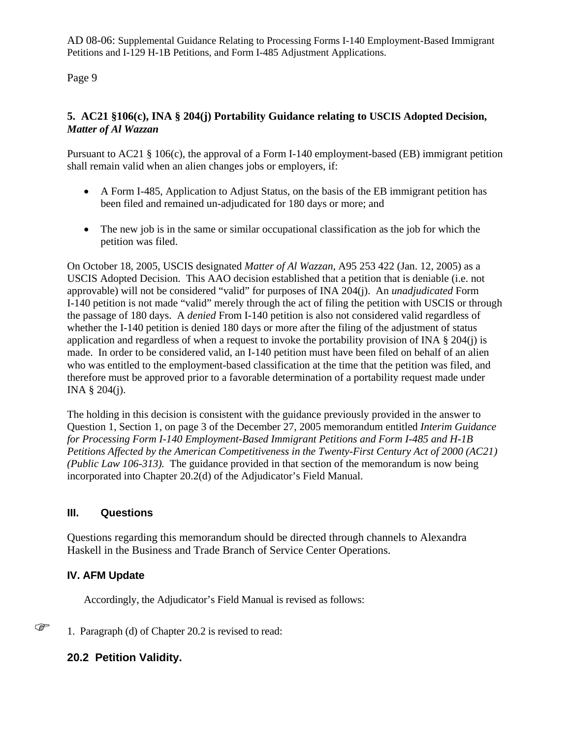Page 9

#### **5. AC21 §106(c), INA § 204(j) Portability Guidance relating to USCIS Adopted Decision,**  *Matter of Al Wazzan*

Pursuant to AC21 § 106(c), the approval of a Form I-140 employment-based (EB) immigrant petition shall remain valid when an alien changes jobs or employers, if:

- A Form I-485, Application to Adjust Status, on the basis of the EB immigrant petition has been filed and remained un-adjudicated for 180 days or more; and
- The new job is in the same or similar occupational classification as the job for which the petition was filed.

On October 18, 2005, USCIS designated *Matter of Al Wazzan,* A95 253 422 (Jan. 12, 2005) as a USCIS Adopted Decision. This AAO decision established that a petition that is deniable (i.e. not approvable) will not be considered "valid" for purposes of INA 204(j). An *unadjudicated* Form I-140 petition is not made "valid" merely through the act of filing the petition with USCIS or through the passage of 180 days. A *denied* From I-140 petition is also not considered valid regardless of whether the I-140 petition is denied 180 days or more after the filing of the adjustment of status application and regardless of when a request to invoke the portability provision of INA § 204(j) is made. In order to be considered valid, an I-140 petition must have been filed on behalf of an alien who was entitled to the employment-based classification at the time that the petition was filed, and therefore must be approved prior to a favorable determination of a portability request made under INA § 204(j).

The holding in this decision is consistent with the guidance previously provided in the answer to Question 1, Section 1, on page 3 of the December 27, 2005 memorandum entitled *Interim Guidance for Processing Form I-140 Employment-Based Immigrant Petitions and Form I-485 and H-1B Petitions Affected by the American Competitiveness in the Twenty-First Century Act of 2000 (AC21) (Public Law 106-313).* The guidance provided in that section of the memorandum is now being incorporated into Chapter 20.2(d) of the Adjudicator's Field Manual.

#### **III. Questions**

Questions regarding this memorandum should be directed through channels to Alexandra Haskell in the Business and Trade Branch of Service Center Operations.

## **IV. AFM Update**

Accordingly, the Adjudicator's Field Manual is revised as follows:

 $\mathbb{G}$  1. Paragraph (d) of Chapter 20.2 is revised to read:

## **20.2 Petition Validity.**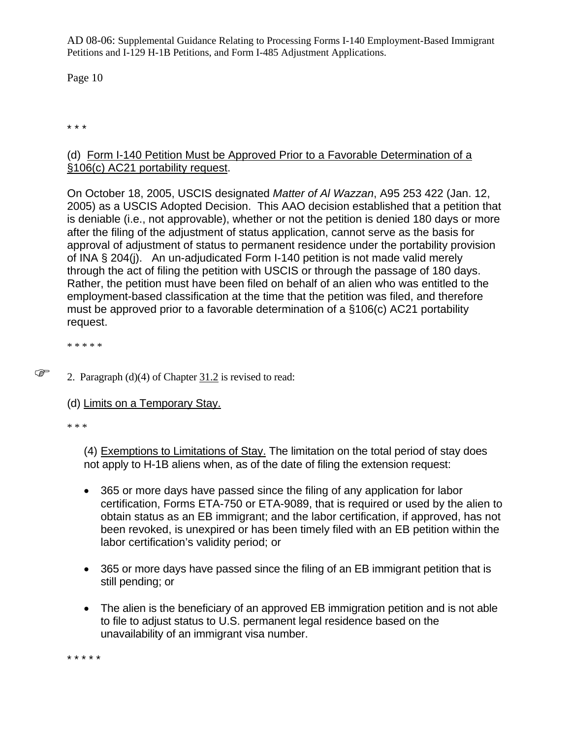Page 10

\* \* \*

## (d) Form I-140 Petition Must be Approved Prior to a Favorable Determination of a §106(c) AC21 portability request.

On October 18, 2005, USCIS designated *Matter of Al Wazzan*, A95 253 422 (Jan. 12, 2005) as a USCIS Adopted Decision. This AAO decision established that a petition that is deniable (i.e., not approvable), whether or not the petition is denied 180 days or more after the filing of the adjustment of status application, cannot serve as the basis for approval of adjustment of status to permanent residence under the portability provision of INA § 204(j). An un-adjudicated Form I-140 petition is not made valid merely through the act of filing the petition with USCIS or through the passage of 180 days. Rather, the petition must have been filed on behalf of an alien who was entitled to the employment-based classification at the time that the petition was filed, and therefore must be approved prior to a favorable determination of a §106(c) AC21 portability request.

\* \* \* \* \*

- $\mathbb{CP}$  2. Paragraph (d)(4) of Chapter 31.2 is revised to read:
	- (d) Limits on a Temporary Stay.

\* \* \*

(4) Exemptions to Limitations of Stay. The limitation on the total period of stay does not apply to H-1B aliens when, as of the date of filing the extension request:

- 365 or more days have passed since the filing of any application for labor certification, Forms ETA-750 or ETA-9089, that is required or used by the alien to obtain status as an EB immigrant; and the labor certification, if approved, has not been revoked, is unexpired or has been timely filed with an EB petition within the labor certification's validity period; or
- 365 or more days have passed since the filing of an EB immigrant petition that is still pending; or
- The alien is the beneficiary of an approved EB immigration petition and is not able to file to adjust status to U.S. permanent legal residence based on the unavailability of an immigrant visa number.

\* \* \* \* \*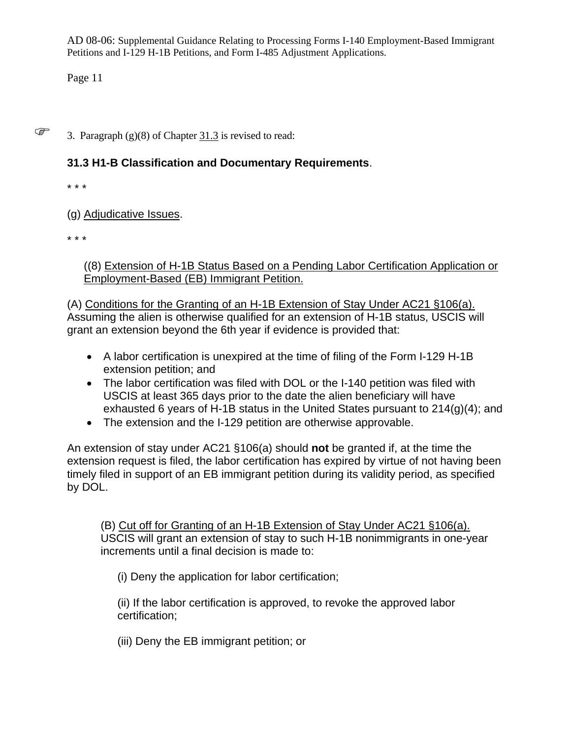Page 11

 $\mathbb{S}$  3. Paragraph (g)(8) of Chapter 31.3 is revised to read:

## **31.3 H1-B Classification and Documentary Requirements**.

\* \* \*

(g) Adjudicative Issues.

\* \* \*

((8) Extension of H-1B Status Based on a Pending Labor Certification Application or Employment-Based (EB) Immigrant Petition.

(A) Conditions for the Granting of an H-1B Extension of Stay Under AC21 §106(a). Assuming the alien is otherwise qualified for an extension of H-1B status, USCIS will grant an extension beyond the 6th year if evidence is provided that:

- A labor certification is unexpired at the time of filing of the Form I-129 H-1B extension petition; and
- The labor certification was filed with DOL or the I-140 petition was filed with USCIS at least 365 days prior to the date the alien beneficiary will have exhausted 6 years of H-1B status in the United States pursuant to 214(g)(4); and
- The extension and the I-129 petition are otherwise approvable.

An extension of stay under AC21 §106(a) should **not** be granted if, at the time the extension request is filed, the labor certification has expired by virtue of not having been timely filed in support of an EB immigrant petition during its validity period, as specified by DOL.

(B) Cut off for Granting of an H-1B Extension of Stay Under AC21 §106(a). USCIS will grant an extension of stay to such H-1B nonimmigrants in one-year increments until a final decision is made to:

(i) Deny the application for labor certification;

(ii) If the labor certification is approved, to revoke the approved labor certification;

(iii) Deny the EB immigrant petition; or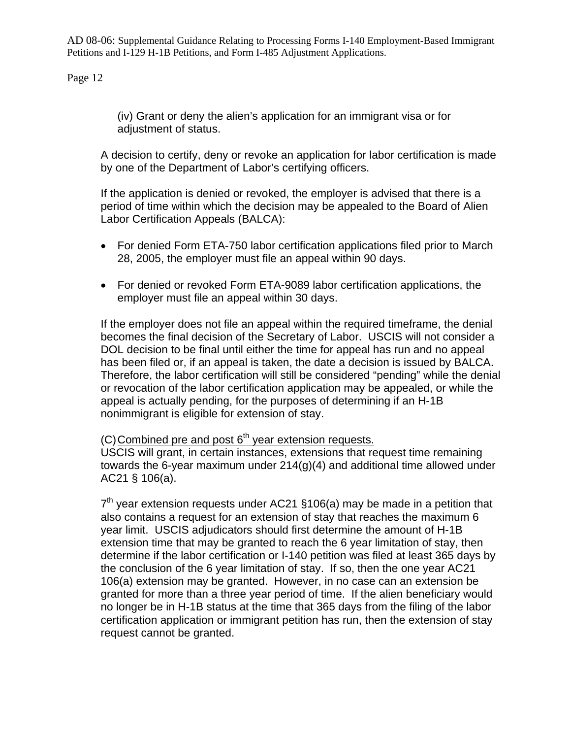Page 12

(iv) Grant or deny the alien's application for an immigrant visa or for adjustment of status.

A decision to certify, deny or revoke an application for labor certification is made by one of the Department of Labor's certifying officers.

If the application is denied or revoked, the employer is advised that there is a period of time within which the decision may be appealed to the Board of Alien Labor Certification Appeals (BALCA):

- For denied Form ETA-750 labor certification applications filed prior to March 28, 2005, the employer must file an appeal within 90 days.
- For denied or revoked Form ETA-9089 labor certification applications, the employer must file an appeal within 30 days.

If the employer does not file an appeal within the required timeframe, the denial becomes the final decision of the Secretary of Labor. USCIS will not consider a DOL decision to be final until either the time for appeal has run and no appeal has been filed or, if an appeal is taken, the date a decision is issued by BALCA. Therefore, the labor certification will still be considered "pending" while the denial or revocation of the labor certification application may be appealed, or while the appeal is actually pending, for the purposes of determining if an H-1B nonimmigrant is eligible for extension of stay.

 $(C)$  Combined pre and post  $6<sup>th</sup>$  year extension requests.

USCIS will grant, in certain instances, extensions that request time remaining towards the 6-year maximum under 214(g)(4) and additional time allowed under AC21 § 106(a).

 $7<sup>th</sup>$  vear extension requests under AC21 §106(a) may be made in a petition that also contains a request for an extension of stay that reaches the maximum 6 year limit. USCIS adjudicators should first determine the amount of H-1B extension time that may be granted to reach the 6 year limitation of stay, then determine if the labor certification or I-140 petition was filed at least 365 days by the conclusion of the 6 year limitation of stay. If so, then the one year AC21 106(a) extension may be granted. However, in no case can an extension be granted for more than a three year period of time. If the alien beneficiary would no longer be in H-1B status at the time that 365 days from the filing of the labor certification application or immigrant petition has run, then the extension of stay request cannot be granted.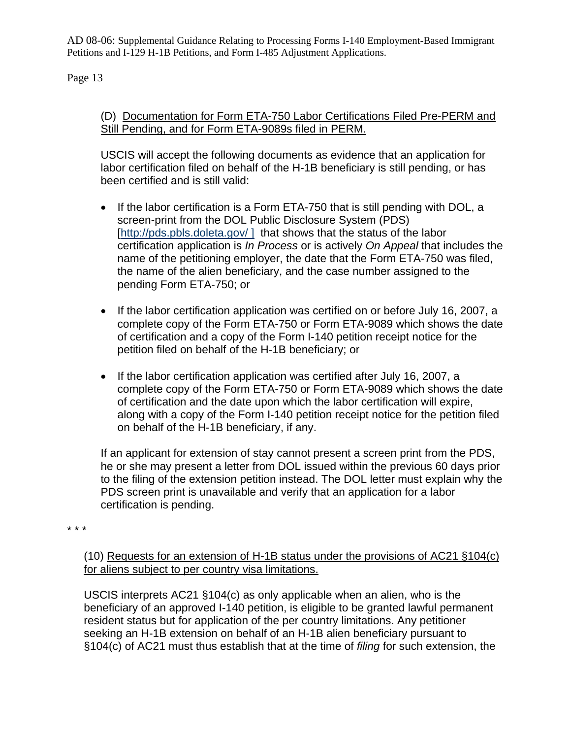Page 13

## (D) Documentation for Form ETA-750 Labor Certifications Filed Pre-PERM and Still Pending, and for Form ETA-9089s filed in PERM.

USCIS will accept the following documents as evidence that an application for labor certification filed on behalf of the H-1B beneficiary is still pending, or has been certified and is still valid:

- If the labor certification is a Form ETA-750 that is still pending with DOL, a screen-print from the DOL Public Disclosure System (PDS) [http://pds.pbls.doleta.gov/ ] that shows that the status of the labor certification application is *In Process* or is actively *On Appeal* that includes the name of the petitioning employer, the date that the Form ETA-750 was filed, the name of the alien beneficiary, and the case number assigned to the pending Form ETA-750; or
- If the labor certification application was certified on or before July 16, 2007, a complete copy of the Form ETA-750 or Form ETA-9089 which shows the date of certification and a copy of the Form I-140 petition receipt notice for the petition filed on behalf of the H-1B beneficiary; or
- If the labor certification application was certified after July 16, 2007, a complete copy of the Form ETA-750 or Form ETA-9089 which shows the date of certification and the date upon which the labor certification will expire, along with a copy of the Form I-140 petition receipt notice for the petition filed on behalf of the H-1B beneficiary, if any.

If an applicant for extension of stay cannot present a screen print from the PDS, he or she may present a letter from DOL issued within the previous 60 days prior to the filing of the extension petition instead. The DOL letter must explain why the PDS screen print is unavailable and verify that an application for a labor certification is pending.

\* \* \*

(10) Requests for an extension of H-1B status under the provisions of AC21 §104(c) for aliens subject to per country visa limitations.

USCIS interprets AC21 §104(c) as only applicable when an alien, who is the beneficiary of an approved I-140 petition, is eligible to be granted lawful permanent resident status but for application of the per country limitations. Any petitioner seeking an H-1B extension on behalf of an H-1B alien beneficiary pursuant to §104(c) of AC21 must thus establish that at the time of *filing* for such extension, the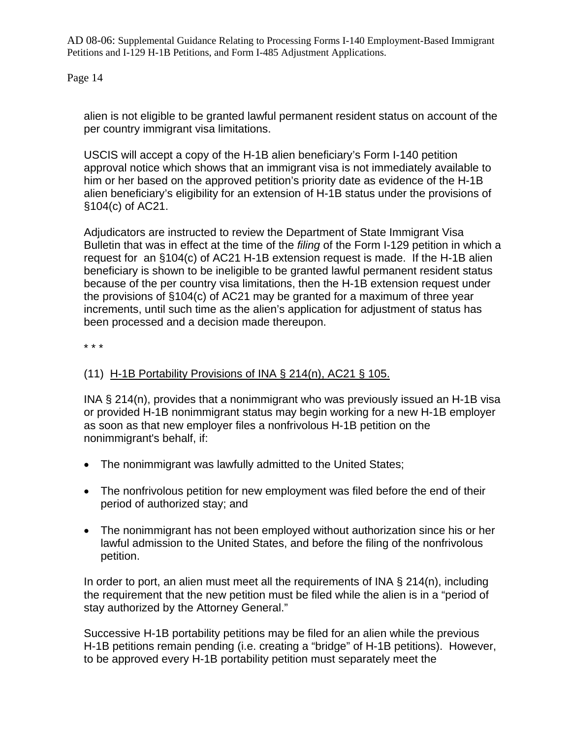Page 14

alien is not eligible to be granted lawful permanent resident status on account of the per country immigrant visa limitations.

USCIS will accept a copy of the H-1B alien beneficiary's Form I-140 petition approval notice which shows that an immigrant visa is not immediately available to him or her based on the approved petition's priority date as evidence of the H-1B alien beneficiary's eligibility for an extension of H-1B status under the provisions of §104(c) of AC21.

Adjudicators are instructed to review the Department of State Immigrant Visa Bulletin that was in effect at the time of the *filing* of the Form I-129 petition in which a request for an §104(c) of AC21 H-1B extension request is made. If the H-1B alien beneficiary is shown to be ineligible to be granted lawful permanent resident status because of the per country visa limitations, then the H-1B extension request under the provisions of §104(c) of AC21 may be granted for a maximum of three year increments, until such time as the alien's application for adjustment of status has been processed and a decision made thereupon.

\* \* \*

## (11) H-1B Portability Provisions of INA  $\S$  214(n), AC21  $\S$  105.

INA § 214(n), provides that a nonimmigrant who was previously issued an H-1B visa or provided H-1B nonimmigrant status may begin working for a new H-1B employer as soon as that new employer files a nonfrivolous H-1B petition on the nonimmigrant's behalf, if:

- The nonimmigrant was lawfully admitted to the United States;
- The nonfrivolous petition for new employment was filed before the end of their period of authorized stay; and
- The nonimmigrant has not been employed without authorization since his or her lawful admission to the United States, and before the filing of the nonfrivolous petition.

In order to port, an alien must meet all the requirements of INA  $\S$  214(n), including the requirement that the new petition must be filed while the alien is in a "period of stay authorized by the Attorney General."

Successive H-1B portability petitions may be filed for an alien while the previous H-1B petitions remain pending (i.e. creating a "bridge" of H-1B petitions). However, to be approved every H-1B portability petition must separately meet the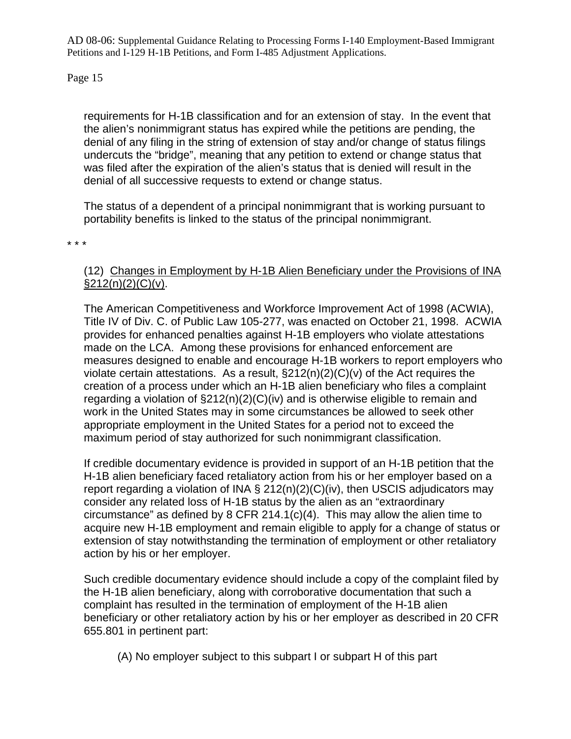Page 15

requirements for H-1B classification and for an extension of stay. In the event that the alien's nonimmigrant status has expired while the petitions are pending, the denial of any filing in the string of extension of stay and/or change of status filings undercuts the "bridge", meaning that any petition to extend or change status that was filed after the expiration of the alien's status that is denied will result in the denial of all successive requests to extend or change status.

The status of a dependent of a principal nonimmigrant that is working pursuant to portability benefits is linked to the status of the principal nonimmigrant.

\* \* \*

## (12) Changes in Employment by H-1B Alien Beneficiary under the Provisions of INA  $\S212(n)(2)(C)(v)$ .

The American Competitiveness and Workforce Improvement Act of 1998 (ACWIA), Title IV of Div. C. of Public Law 105-277, was enacted on October 21, 1998. ACWIA provides for enhanced penalties against H-1B employers who violate attestations made on the LCA. Among these provisions for enhanced enforcement are measures designed to enable and encourage H-1B workers to report employers who violate certain attestations. As a result,  $\S212(n)(2)(C)(v)$  of the Act requires the creation of a process under which an H-1B alien beneficiary who files a complaint regarding a violation of §212(n)(2)(C)(iv) and is otherwise eligible to remain and work in the United States may in some circumstances be allowed to seek other appropriate employment in the United States for a period not to exceed the maximum period of stay authorized for such nonimmigrant classification.

If credible documentary evidence is provided in support of an H-1B petition that the H-1B alien beneficiary faced retaliatory action from his or her employer based on a report regarding a violation of INA § 212(n)(2)(C)(iv), then USCIS adjudicators may consider any related loss of H-1B status by the alien as an "extraordinary circumstance" as defined by 8 CFR 214.1(c)(4). This may allow the alien time to acquire new H-1B employment and remain eligible to apply for a change of status or extension of stay notwithstanding the termination of employment or other retaliatory action by his or her employer.

Such credible documentary evidence should include a copy of the complaint filed by the H-1B alien beneficiary, along with corroborative documentation that such a complaint has resulted in the termination of employment of the H-1B alien beneficiary or other retaliatory action by his or her employer as described in 20 CFR 655.801 in pertinent part:

(A) No employer subject to this subpart I or subpart H of this part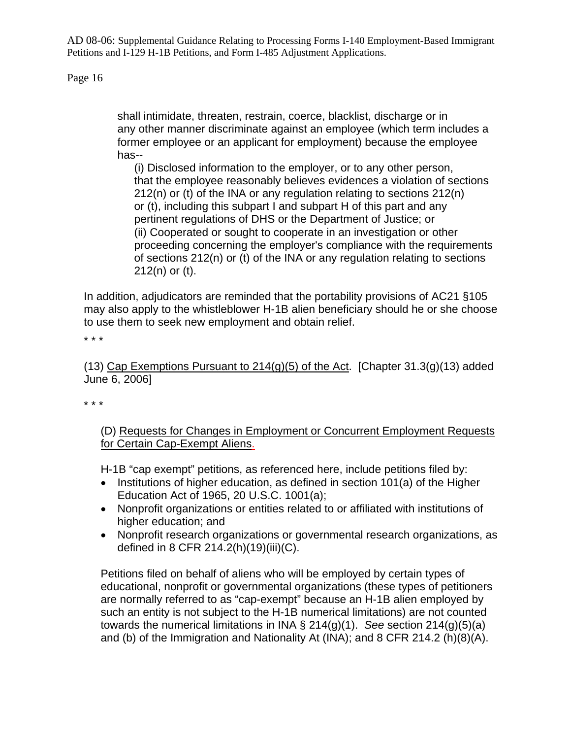Page 16

shall intimidate, threaten, restrain, coerce, blacklist, discharge or in any other manner discriminate against an employee (which term includes a former employee or an applicant for employment) because the employee has--

(i) Disclosed information to the employer, or to any other person, that the employee reasonably believes evidences a violation of sections 212(n) or (t) of the INA or any regulation relating to sections 212(n) or (t), including this subpart I and subpart H of this part and any pertinent regulations of DHS or the Department of Justice; or (ii) Cooperated or sought to cooperate in an investigation or other proceeding concerning the employer's compliance with the requirements of sections 212(n) or (t) of the INA or any regulation relating to sections 212(n) or (t).

In addition, adjudicators are reminded that the portability provisions of AC21 §105 may also apply to the whistleblower H-1B alien beneficiary should he or she choose to use them to seek new employment and obtain relief.

\* \* \*

(13) Cap Exemptions Pursuant to  $214(q)(5)$  of the Act. [Chapter 31.3(g)(13) added June 6, 2006]

\* \* \*

(D) Requests for Changes in Employment or Concurrent Employment Requests for Certain Cap-Exempt Aliens.

H-1B "cap exempt" petitions, as referenced here, include petitions filed by:

- Institutions of higher education, as defined in section 101(a) of the Higher Education Act of 1965, 20 U.S.C. 1001(a);
- Nonprofit organizations or entities related to or affiliated with institutions of higher education; and
- Nonprofit research organizations or governmental research organizations, as defined in 8 CFR 214.2(h)(19)(iii)(C).

Petitions filed on behalf of aliens who will be employed by certain types of educational, nonprofit or governmental organizations (these types of petitioners are normally referred to as "cap-exempt" because an H-1B alien employed by such an entity is not subject to the H-1B numerical limitations) are not counted towards the numerical limitations in INA § 214(g)(1). *See* section 214(g)(5)(a) and (b) of the Immigration and Nationality At (INA); and 8 CFR 214.2 (h)(8)(A).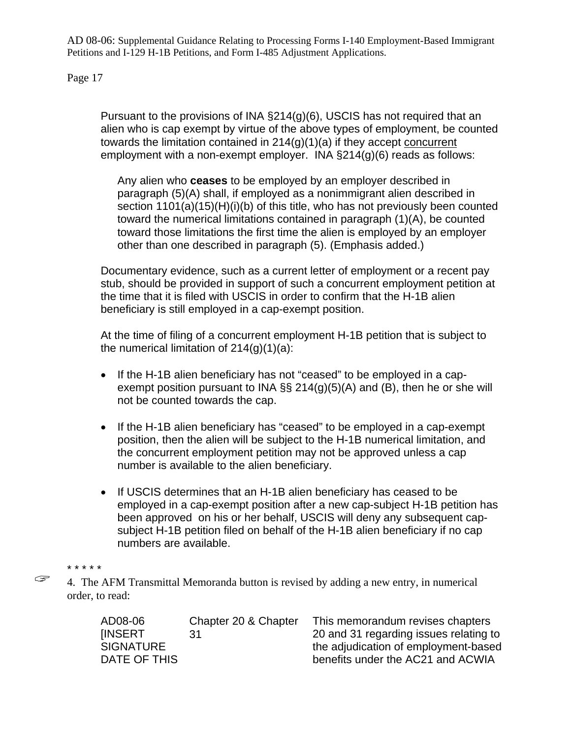Page 17

Pursuant to the provisions of INA §214(g)(6), USCIS has not required that an alien who is cap exempt by virtue of the above types of employment, be counted towards the limitation contained in  $214(g)(1)(a)$  if they accept concurrent employment with a non-exempt employer. INA §214(g)(6) reads as follows:

Any alien who **ceases** to be employed by an employer described in paragraph (5)(A) shall, if employed as a nonimmigrant alien described in section 1101(a)(15)(H)(i)(b) of this title, who has not previously been counted toward the numerical limitations contained in paragraph (1)(A), be counted toward those limitations the first time the alien is employed by an employer other than one described in paragraph (5). (Emphasis added.)

Documentary evidence, such as a current letter of employment or a recent pay stub, should be provided in support of such a concurrent employment petition at the time that it is filed with USCIS in order to confirm that the H-1B alien beneficiary is still employed in a cap-exempt position.

At the time of filing of a concurrent employment H-1B petition that is subject to the numerical limitation of  $214(q)(1)(a)$ :

- If the H-1B alien beneficiary has not "ceased" to be employed in a capexempt position pursuant to INA  $\S$  214(g)(5)(A) and (B), then he or she will not be counted towards the cap.
- If the H-1B alien beneficiary has "ceased" to be employed in a cap-exempt position, then the alien will be subject to the H-1B numerical limitation, and the concurrent employment petition may not be approved unless a cap number is available to the alien beneficiary.
- If USCIS determines that an H-1B alien beneficiary has ceased to be employed in a cap-exempt position after a new cap-subject H-1B petition has been approved on his or her behalf, USCIS will deny any subsequent capsubject H-1B petition filed on behalf of the H-1B alien beneficiary if no cap numbers are available.

4. The AFM Transmittal Memoranda button is revised by adding a new entry, in numerical order, to read:

| AD08-06          | Chapter 20 & Chapter | This memorandum revises chapters       |
|------------------|----------------------|----------------------------------------|
| <b>IINSERT</b>   | -31                  | 20 and 31 regarding issues relating to |
| <b>SIGNATURE</b> |                      | the adjudication of employment-based   |
| DATE OF THIS     |                      | benefits under the AC21 and ACWIA      |

<sup>\* \* \* \* \*</sup>